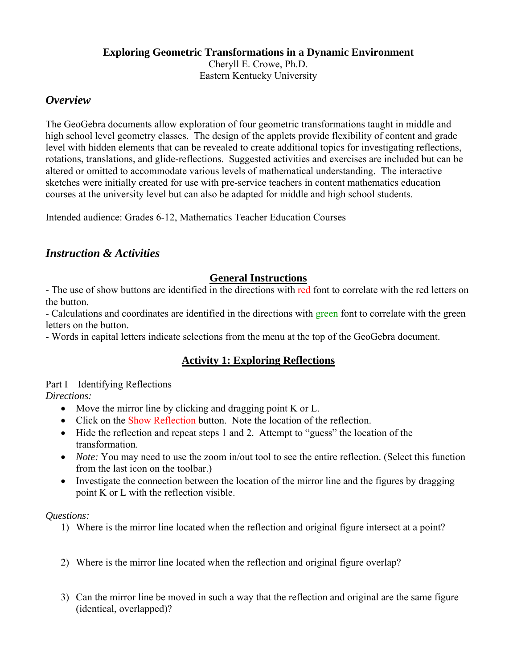#### **Exploring Geometric Transformations in a Dynamic Environment**  Cheryll E. Crowe, Ph.D.

Eastern Kentucky University

# *Overview*

The GeoGebra documents allow exploration of four geometric transformations taught in middle and high school level geometry classes. The design of the applets provide flexibility of content and grade level with hidden elements that can be revealed to create additional topics for investigating reflections, rotations, translations, and glide-reflections. Suggested activities and exercises are included but can be altered or omitted to accommodate various levels of mathematical understanding. The interactive sketches were initially created for use with pre-service teachers in content mathematics education courses at the university level but can also be adapted for middle and high school students.

Intended audience: Grades 6-12, Mathematics Teacher Education Courses

# *Instruction & Activities*

## **General Instructions**

- The use of show buttons are identified in the directions with red font to correlate with the red letters on the button.

- Calculations and coordinates are identified in the directions with green font to correlate with the green letters on the button.

- Words in capital letters indicate selections from the menu at the top of the GeoGebra document.

# **Activity 1: Exploring Reflections**

Part I – Identifying Reflections *Directions:* 

- Move the mirror line by clicking and dragging point K or L.
- Click on the Show Reflection button. Note the location of the reflection.
- Hide the reflection and repeat steps 1 and 2. Attempt to "guess" the location of the transformation.
- *Note:* You may need to use the zoom in/out tool to see the entire reflection. (Select this function from the last icon on the toolbar.)
- Investigate the connection between the location of the mirror line and the figures by dragging point K or L with the reflection visible.

- 1) Where is the mirror line located when the reflection and original figure intersect at a point?
- 2) Where is the mirror line located when the reflection and original figure overlap?
- 3) Can the mirror line be moved in such a way that the reflection and original are the same figure (identical, overlapped)?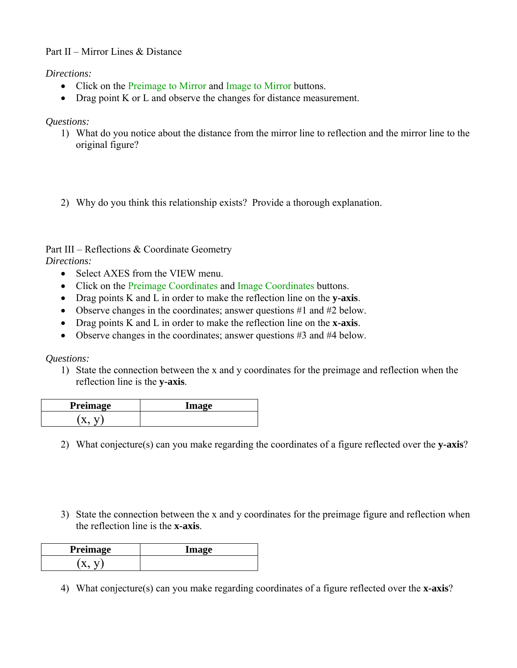### Part II – Mirror Lines & Distance

*Directions:* 

- Click on the Preimage to Mirror and Image to Mirror buttons.
- Drag point K or L and observe the changes for distance measurement.

#### *Questions:*

- 1) What do you notice about the distance from the mirror line to reflection and the mirror line to the original figure?
- 2) Why do you think this relationship exists? Provide a thorough explanation.

#### Part III – Reflections & Coordinate Geometry *Directions:*

- Select AXES from the VIEW menu.
- Click on the Preimage Coordinates and Image Coordinates buttons.
- Drag points K and L in order to make the reflection line on the **y-axis**.
- Observe changes in the coordinates; answer questions #1 and #2 below.
- Drag points K and L in order to make the reflection line on the **x-axis**.
- Observe changes in the coordinates; answer questions #3 and #4 below.

*Questions:* 

1) State the connection between the x and y coordinates for the preimage and reflection when the reflection line is the **y-axis**.

| <b>Preimage</b> | lmage |
|-----------------|-------|
|                 |       |

- 2) What conjecture(s) can you make regarding the coordinates of a figure reflected over the **y-axis**?
- 3) State the connection between the x and y coordinates for the preimage figure and reflection when the reflection line is the **x-axis**.

| Preimage | lmaga |
|----------|-------|
|          |       |

4) What conjecture(s) can you make regarding coordinates of a figure reflected over the **x-axis**?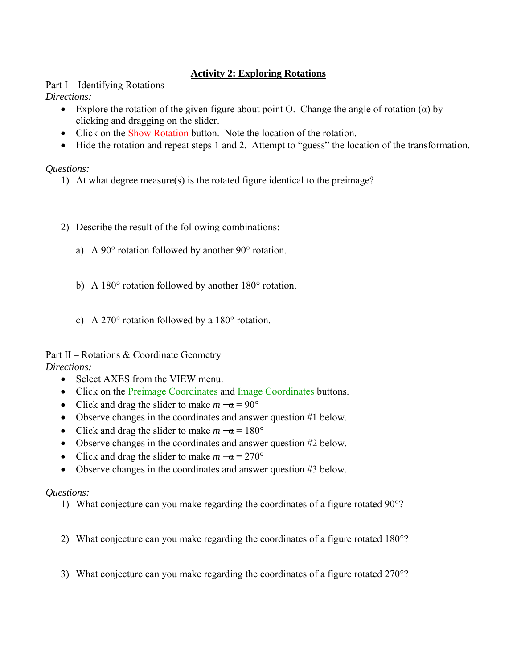### **Activity 2: Exploring Rotations**

Part I – Identifying Rotations *Directions:* 

- Explore the rotation of the given figure about point O. Change the angle of rotation  $(\alpha)$  by clicking and dragging on the slider.
- Click on the Show Rotation button. Note the location of the rotation.
- Hide the rotation and repeat steps 1 and 2. Attempt to "guess" the location of the transformation.

#### *Questions:*

- 1) At what degree measure(s) is the rotated figure identical to the preimage?
- 2) Describe the result of the following combinations:
	- a) A 90° rotation followed by another 90° rotation.
	- b) A 180° rotation followed by another 180° rotation.
	- c) A 270° rotation followed by a 180° rotation.

Part II – Rotations & Coordinate Geometry *Directions:* 

- Select AXES from the VIEW menu.
- Click on the Preimage Coordinates and Image Coordinates buttons.
- Click and drag the slider to make  $m \alpha = 90^{\circ}$
- Observe changes in the coordinates and answer question #1 below.
- Click and drag the slider to make  $m \alpha = 180^{\circ}$
- Observe changes in the coordinates and answer question #2 below.
- Click and drag the slider to make  $m \alpha = 270^{\circ}$
- Observe changes in the coordinates and answer question #3 below.

- 1) What conjecture can you make regarding the coordinates of a figure rotated 90°?
- 2) What conjecture can you make regarding the coordinates of a figure rotated 180°?
- 3) What conjecture can you make regarding the coordinates of a figure rotated 270°?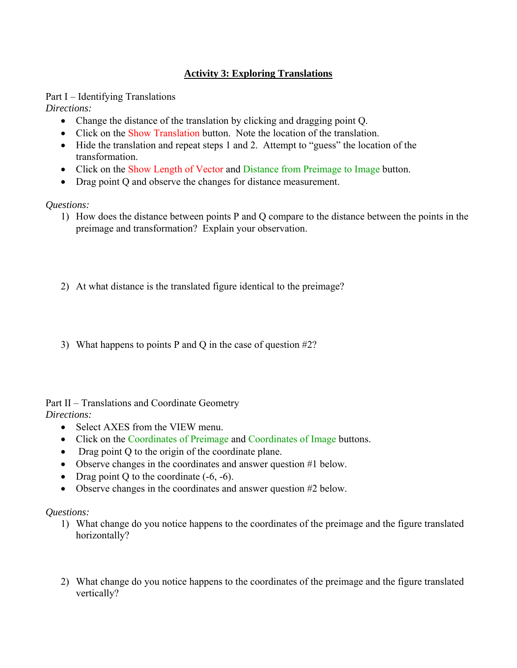### **Activity 3: Exploring Translations**

Part I – Identifying Translations *Directions:* 

- Change the distance of the translation by clicking and dragging point Q.
- Click on the Show Translation button. Note the location of the translation.
- Hide the translation and repeat steps 1 and 2. Attempt to "guess" the location of the transformation.
- Click on the Show Length of Vector and Distance from Preimage to Image button.
- Drag point Q and observe the changes for distance measurement.

*Questions:*

- 1) How does the distance between points P and Q compare to the distance between the points in the preimage and transformation? Explain your observation.
- 2) At what distance is the translated figure identical to the preimage?
- 3) What happens to points P and Q in the case of question #2?

Part II – Translations and Coordinate Geometry *Directions:* 

- Select AXES from the VIEW menu.
- Click on the Coordinates of Preimage and Coordinates of Image buttons.
- Drag point Q to the origin of the coordinate plane.
- Observe changes in the coordinates and answer question #1 below.
- Drag point Q to the coordinate  $(-6, -6)$ .
- Observe changes in the coordinates and answer question #2 below.

- 1) What change do you notice happens to the coordinates of the preimage and the figure translated horizontally?
- 2) What change do you notice happens to the coordinates of the preimage and the figure translated vertically?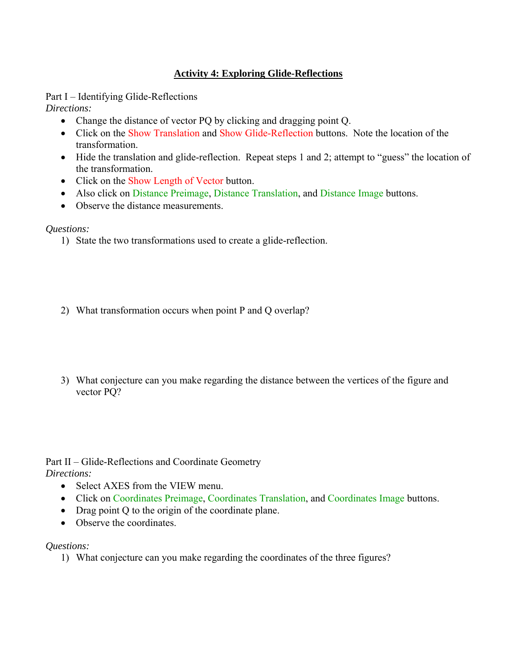### **Activity 4: Exploring Glide-Reflections**

Part I – Identifying Glide-Reflections

*Directions:* 

- Change the distance of vector PQ by clicking and dragging point Q.
- Click on the Show Translation and Show Glide-Reflection buttons. Note the location of the transformation.
- Hide the translation and glide-reflection. Repeat steps 1 and 2; attempt to "guess" the location of the transformation.
- Click on the Show Length of Vector button.
- Also click on Distance Preimage, Distance Translation, and Distance Image buttons.
- Observe the distance measurements.

### *Questions:*

- 1) State the two transformations used to create a glide-reflection.
- 2) What transformation occurs when point P and Q overlap?
- 3) What conjecture can you make regarding the distance between the vertices of the figure and vector PQ?

Part II – Glide-Reflections and Coordinate Geometry *Directions:* 

- Select AXES from the VIEW menu.
- Click on Coordinates Preimage, Coordinates Translation, and Coordinates Image buttons.
- Drag point Q to the origin of the coordinate plane.
- Observe the coordinates.

### *Questions:*

1) What conjecture can you make regarding the coordinates of the three figures?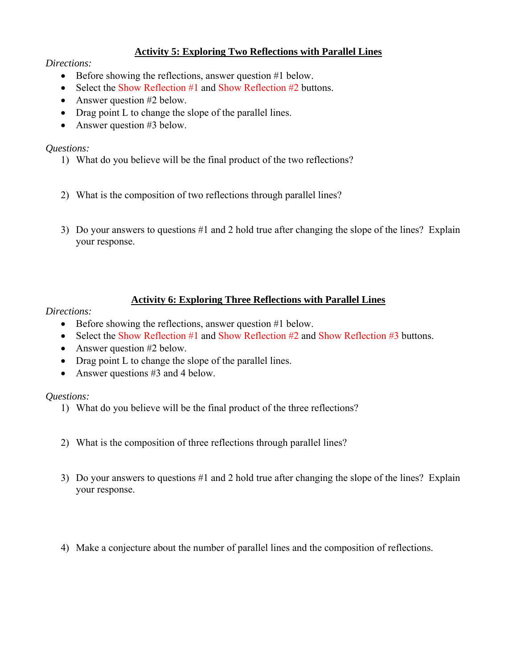### **Activity 5: Exploring Two Reflections with Parallel Lines**

#### *Directions:*

- Before showing the reflections, answer question #1 below.
- Select the Show Reflection #1 and Show Reflection #2 buttons.
- Answer question #2 below.
- Drag point L to change the slope of the parallel lines.
- Answer question #3 below.

### *Questions:*

- 1) What do you believe will be the final product of the two reflections?
- 2) What is the composition of two reflections through parallel lines?
- 3) Do your answers to questions #1 and 2 hold true after changing the slope of the lines? Explain your response.

### **Activity 6: Exploring Three Reflections with Parallel Lines**

### *Directions:*

- Before showing the reflections, answer question #1 below.
- Select the Show Reflection  $#1$  and Show Reflection  $#2$  and Show Reflection  $#3$  buttons.
- Answer question #2 below.
- Drag point L to change the slope of the parallel lines.
- Answer questions #3 and 4 below.

- 1) What do you believe will be the final product of the three reflections?
- 2) What is the composition of three reflections through parallel lines?
- 3) Do your answers to questions #1 and 2 hold true after changing the slope of the lines? Explain your response.
- 4) Make a conjecture about the number of parallel lines and the composition of reflections.